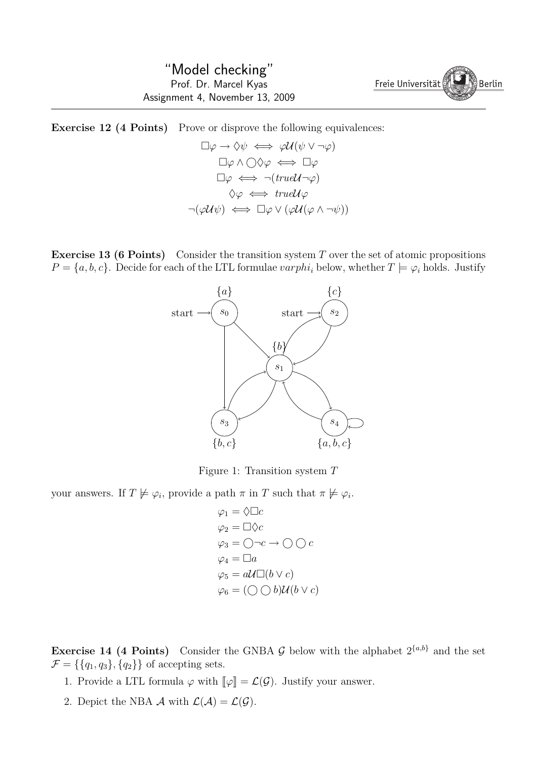$\left\langle \begin{array}{c} \mathbf{I} \\ \mathbf{I} \end{array} \right\rangle$  Berlin Freie Universität

**Exercise 12 (4 Points)** Prove or disprove the following equivalences:  $\Box \varphi \rightarrow \Diamond \psi \iff \varphi \mathcal{U}(\psi \vee \neg \varphi)$ 

$$
\Box \varphi \land \bigcirc \Diamond \varphi \iff \Box \varphi
$$
\n
$$
\Box \varphi \land \bigcirc \Diamond \varphi \iff \Box \varphi
$$
\n
$$
\Diamond \varphi \iff \neg (trueU \neg \varphi)
$$
\n
$$
\Diamond \varphi \iff trueU\varphi
$$
\n
$$
\neg(\varphi U\psi) \iff \Box \varphi \lor (\varphi U(\varphi \land \neg \psi))
$$

**Exercise 13 (6 Points)** Consider the transition system *T* over the set of atomic propositions  $P = \{a, b, c\}$ . Decide for each of the LTL formulae *varphi*<sub>*i*</sub> below, whether  $T \models \varphi_i$  holds. Justify



Figure 1: Transition system *T*

your answers. If  $T \not\models \varphi_i$ , provide a path  $\pi$  in  $T$  such that  $\pi \not\models \varphi_i$ .

 $\varphi_1 = \Diamond \Box c$  $\varphi_2 = \Box \Diamond c$  $\varphi_3 = \bigcirc \neg c \to \bigcirc \bigcirc c$  $\varphi_4 = \Box a$  $\varphi_5 = a \mathcal{U} \Box (b \lor c)$  $\varphi_6 = (\bigcirc \bigcirc b) \mathcal{U}(b \vee c)$ 

**Exercise 14 (4 Points)** Consider the GNBA  $\mathcal{G}$  below with the alphabet  $2^{\{a,b\}}$  and the set  $\mathcal{F} = \{\{q_1, q_3\}, \{q_2\}\}\$  of accepting sets.

- 1. Provide a LTL formula  $\varphi$  with  $\llbracket \varphi \rrbracket = \mathcal{L}(\mathcal{G})$ . Justify your answer.
- 2. Depict the NBA *A* with  $\mathcal{L}(\mathcal{A}) = \mathcal{L}(\mathcal{G})$ .